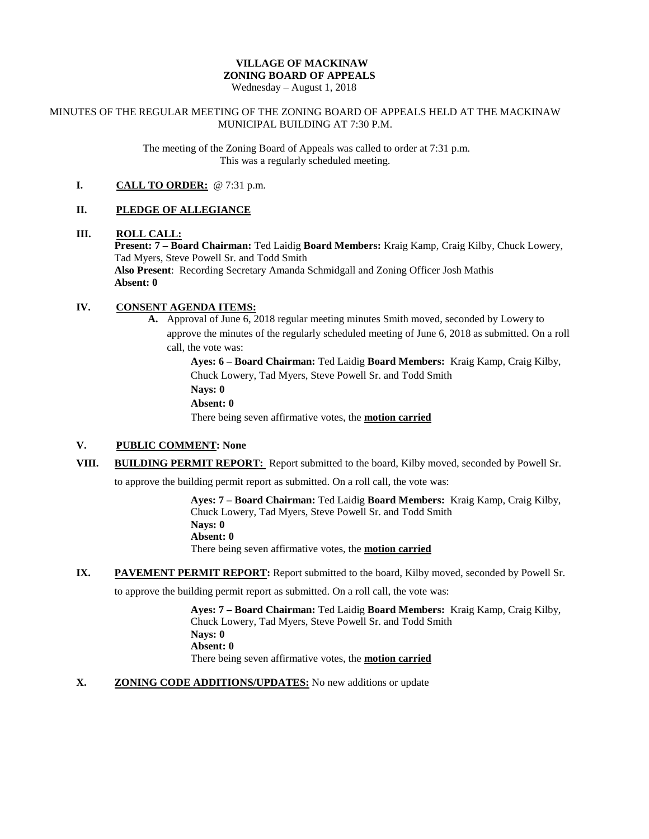# **VILLAGE OF MACKINAW ZONING BOARD OF APPEALS**

Wednesday – August 1, 2018

#### MINUTES OF THE REGULAR MEETING OF THE ZONING BOARD OF APPEALS HELD AT THE MACKINAW MUNICIPAL BUILDING AT 7:30 P.M.

The meeting of the Zoning Board of Appeals was called to order at 7:31 p.m. This was a regularly scheduled meeting.

### **I. CALL TO ORDER:** @ 7:31 p.m.

# **II. PLEDGE OF ALLEGIANCE**

# **III. ROLL CALL:**

**Present: 7 – Board Chairman:** Ted Laidig **Board Members:** Kraig Kamp, Craig Kilby, Chuck Lowery, Tad Myers, Steve Powell Sr. and Todd Smith

**Also Present**: Recording Secretary Amanda Schmidgall and Zoning Officer Josh Mathis **Absent: 0**

# **IV. CONSENT AGENDA ITEMS:**

**A.** Approval of June 6, 2018 regular meeting minutes Smith moved, seconded by Lowery to approve the minutes of the regularly scheduled meeting of June 6, 2018 as submitted. On a roll call, the vote was:

> **Ayes: 6 – Board Chairman:** Ted Laidig **Board Members:** Kraig Kamp, Craig Kilby, Chuck Lowery, Tad Myers, Steve Powell Sr. and Todd Smith **Nays: 0 Absent: 0**

There being seven affirmative votes, the **motion carried**

#### **V. PUBLIC COMMENT: None**

**VIII. BUILDING PERMIT REPORT:** Report submitted to the board, Kilby moved, seconded by Powell Sr.

to approve the building permit report as submitted. On a roll call, the vote was:

**Ayes: 7 – Board Chairman:** Ted Laidig **Board Members:** Kraig Kamp, Craig Kilby, Chuck Lowery, Tad Myers, Steve Powell Sr. and Todd Smith **Nays: 0 Absent: 0** There being seven affirmative votes, the **motion carried**

**IX. PAVEMENT PERMIT REPORT:** Report submitted to the board, Kilby moved, seconded by Powell Sr.

to approve the building permit report as submitted. On a roll call, the vote was:

**Ayes: 7 – Board Chairman:** Ted Laidig **Board Members:** Kraig Kamp, Craig Kilby, Chuck Lowery, Tad Myers, Steve Powell Sr. and Todd Smith **Nays: 0 Absent: 0** There being seven affirmative votes, the **motion carried**

**X. ZONING CODE ADDITIONS/UPDATES:** No new additions or update